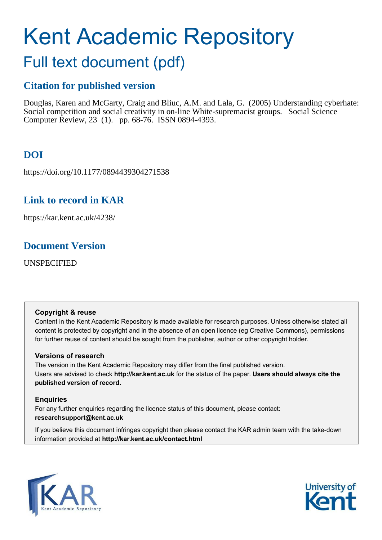# Kent Academic Repository

# Full text document (pdf)

# **Citation for published version**

Douglas, Karen and McGarty, Craig and Bliuc, A.M. and Lala, G. (2005) Understanding cyberhate: Social competition and social creativity in on-line White-supremacist groups. Social Science Computer Review, 23 (1). pp. 68-76. ISSN 0894-4393.

# **DOI**

https://doi.org/10.1177/0894439304271538

# **Link to record in KAR**

https://kar.kent.ac.uk/4238/

### **Document Version**

UNSPECIFIED

#### **Copyright & reuse**

Content in the Kent Academic Repository is made available for research purposes. Unless otherwise stated all content is protected by copyright and in the absence of an open licence (eg Creative Commons), permissions for further reuse of content should be sought from the publisher, author or other copyright holder.

#### **Versions of research**

The version in the Kent Academic Repository may differ from the final published version. Users are advised to check **http://kar.kent.ac.uk** for the status of the paper. **Users should always cite the published version of record.**

#### **Enquiries**

For any further enquiries regarding the licence status of this document, please contact: **researchsupport@kent.ac.uk**

If you believe this document infringes copyright then please contact the KAR admin team with the take-down information provided at **http://kar.kent.ac.uk/contact.html**



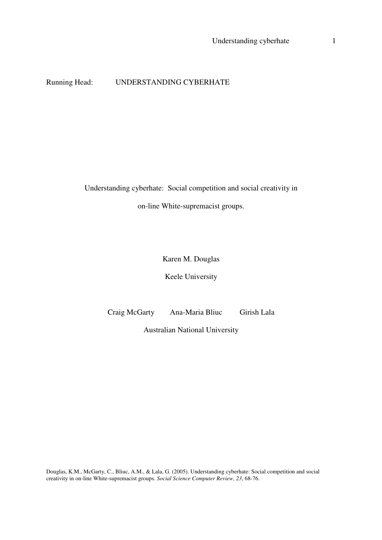#### Running Head: UNDERSTANDING CYBERHATE

Understanding cyberhate: Social competition and social creativity in

on-line White-supremacist groups.

Karen M. Douglas

Keele University

Craig McGarty Ana-Maria Bliuc Girish Lala

Australian National University

Douglas, K.M., McGarty, C., Bliuc, A.M., & Lala, G. (2005). Understanding cyberhate: Social competition and social creativity in on-line White-supremacist groups. *Social Science Computer Review, 23*, 68-76.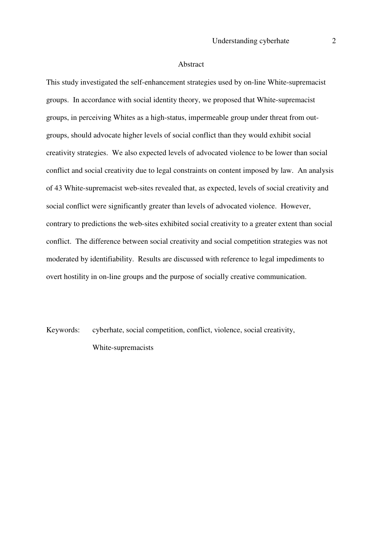#### Abstract

This study investigated the self-enhancement strategies used by on-line White-supremacist groups. In accordance with social identity theory, we proposed that White-supremacist groups, in perceiving Whites as a high-status, impermeable group under threat from outgroups, should advocate higher levels of social conflict than they would exhibit social creativity strategies. We also expected levels of advocated violence to be lower than social conflict and social creativity due to legal constraints on content imposed by law. An analysis of 43 White-supremacist web-sites revealed that, as expected, levels of social creativity and social conflict were significantly greater than levels of advocated violence. However, contrary to predictions the web-sites exhibited social creativity to a greater extent than social conflict. The difference between social creativity and social competition strategies was not moderated by identifiability. Results are discussed with reference to legal impediments to overt hostility in on-line groups and the purpose of socially creative communication.

Keywords: cyberhate, social competition, conflict, violence, social creativity, White-supremacists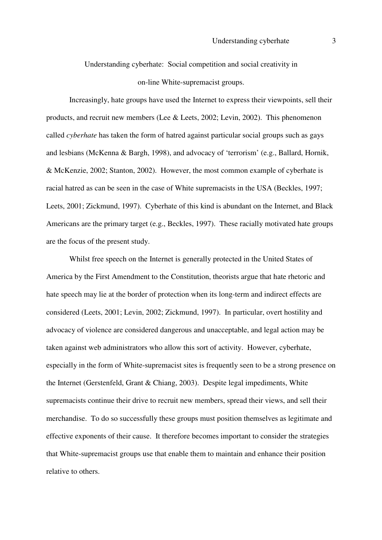Understanding cyberhate: Social competition and social creativity in on-line White-supremacist groups.

 Increasingly, hate groups have used the Internet to express their viewpoints, sell their products, and recruit new members (Lee & Leets, 2002; Levin, 2002). This phenomenon called *cyberhate* has taken the form of hatred against particular social groups such as gays and lesbians (McKenna & Bargh, 1998), and advocacy of 'terrorism' (e.g., Ballard, Hornik, & McKenzie, 2002; Stanton, 2002). However, the most common example of cyberhate is racial hatred as can be seen in the case of White supremacists in the USA (Beckles, 1997; Leets, 2001; Zickmund, 1997). Cyberhate of this kind is abundant on the Internet, and Black Americans are the primary target (e.g., Beckles, 1997). These racially motivated hate groups are the focus of the present study.

 Whilst free speech on the Internet is generally protected in the United States of America by the First Amendment to the Constitution, theorists argue that hate rhetoric and hate speech may lie at the border of protection when its long-term and indirect effects are considered (Leets, 2001; Levin, 2002; Zickmund, 1997). In particular, overt hostility and advocacy of violence are considered dangerous and unacceptable, and legal action may be taken against web administrators who allow this sort of activity. However, cyberhate, especially in the form of White-supremacist sites is frequently seen to be a strong presence on the Internet (Gerstenfeld, Grant & Chiang, 2003). Despite legal impediments, White supremacists continue their drive to recruit new members, spread their views, and sell their merchandise. To do so successfully these groups must position themselves as legitimate and effective exponents of their cause. It therefore becomes important to consider the strategies that White-supremacist groups use that enable them to maintain and enhance their position relative to others.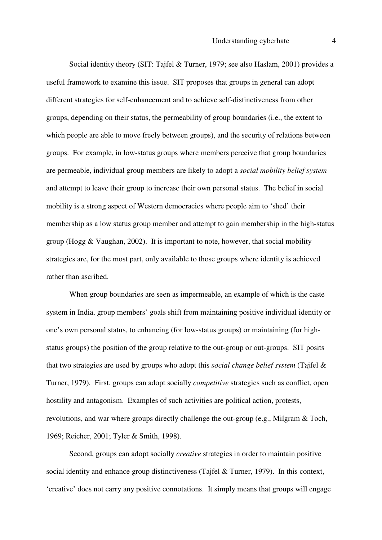Social identity theory (SIT: Tajfel & Turner, 1979; see also Haslam, 2001) provides a useful framework to examine this issue. SIT proposes that groups in general can adopt different strategies for self-enhancement and to achieve self-distinctiveness from other groups, depending on their status, the permeability of group boundaries (i.e., the extent to which people are able to move freely between groups), and the security of relations between groups. For example, in low-status groups where members perceive that group boundaries are permeable, individual group members are likely to adopt a *social mobility belief system* and attempt to leave their group to increase their own personal status. The belief in social mobility is a strong aspect of Western democracies where people aim to 'shed' their membership as a low status group member and attempt to gain membership in the high-status group (Hogg  $& Vaughan, 2002$ ). It is important to note, however, that social mobility strategies are, for the most part, only available to those groups where identity is achieved rather than ascribed.

When group boundaries are seen as impermeable, an example of which is the caste system in India, group members' goals shift from maintaining positive individual identity or one's own personal status, to enhancing (for low-status groups) or maintaining (for highstatus groups) the position of the group relative to the out-group or out-groups. SIT posits that two strategies are used by groups who adopt this *social change belief system* (Tajfel & Turner, 1979)*.* First, groups can adopt socially *competitive* strategies such as conflict, open hostility and antagonism. Examples of such activities are political action, protests, revolutions, and war where groups directly challenge the out-group (e.g., Milgram & Toch, 1969; Reicher, 2001; Tyler & Smith, 1998).

Second, groups can adopt socially *creative* strategies in order to maintain positive social identity and enhance group distinctiveness (Tajfel & Turner, 1979). In this context, 'creative' does not carry any positive connotations. It simply means that groups will engage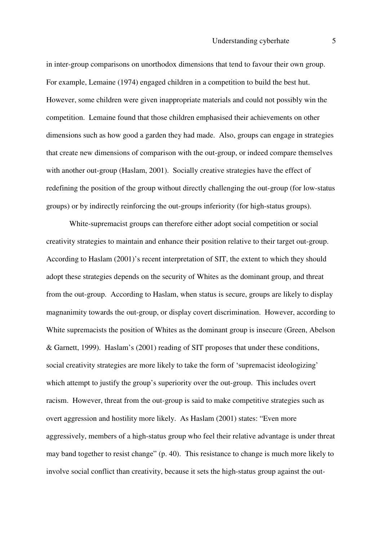in inter-group comparisons on unorthodox dimensions that tend to favour their own group. For example, Lemaine (1974) engaged children in a competition to build the best hut. However, some children were given inappropriate materials and could not possibly win the competition. Lemaine found that those children emphasised their achievements on other dimensions such as how good a garden they had made. Also, groups can engage in strategies that create new dimensions of comparison with the out-group, or indeed compare themselves with another out-group (Haslam, 2001). Socially creative strategies have the effect of redefining the position of the group without directly challenging the out-group (for low-status groups) or by indirectly reinforcing the out-groups inferiority (for high-status groups).

White-supremacist groups can therefore either adopt social competition or social creativity strategies to maintain and enhance their position relative to their target out-group. According to Haslam (2001)'s recent interpretation of SIT, the extent to which they should adopt these strategies depends on the security of Whites as the dominant group, and threat from the out-group. According to Haslam, when status is secure, groups are likely to display magnanimity towards the out-group, or display covert discrimination. However, according to White supremacists the position of Whites as the dominant group is insecure (Green, Abelson & Garnett, 1999). Haslam's (2001) reading of SIT proposes that under these conditions, social creativity strategies are more likely to take the form of 'supremacist ideologizing' which attempt to justify the group's superiority over the out-group. This includes overt racism. However, threat from the out-group is said to make competitive strategies such as overt aggression and hostility more likely. As Haslam (2001) states: "Even more aggressively, members of a high-status group who feel their relative advantage is under threat may band together to resist change" (p. 40). This resistance to change is much more likely to involve social conflict than creativity, because it sets the high-status group against the out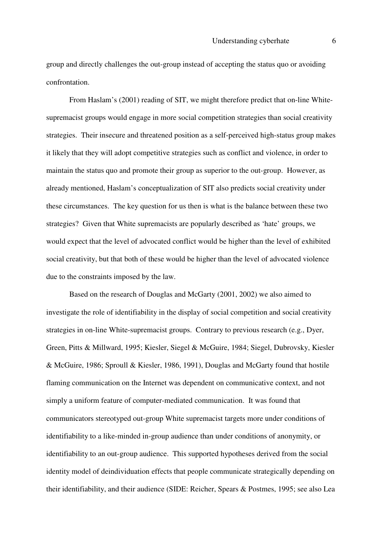group and directly challenges the out-group instead of accepting the status quo or avoiding confrontation.

From Haslam's (2001) reading of SIT, we might therefore predict that on-line Whitesupremacist groups would engage in more social competition strategies than social creativity strategies. Their insecure and threatened position as a self-perceived high-status group makes it likely that they will adopt competitive strategies such as conflict and violence, in order to maintain the status quo and promote their group as superior to the out-group. However, as already mentioned, Haslam's conceptualization of SIT also predicts social creativity under these circumstances. The key question for us then is what is the balance between these two strategies? Given that White supremacists are popularly described as 'hate' groups, we would expect that the level of advocated conflict would be higher than the level of exhibited social creativity, but that both of these would be higher than the level of advocated violence due to the constraints imposed by the law.

 Based on the research of Douglas and McGarty (2001, 2002) we also aimed to investigate the role of identifiability in the display of social competition and social creativity strategies in on-line White-supremacist groups. Contrary to previous research (e.g., Dyer, Green, Pitts & Millward, 1995; Kiesler, Siegel & McGuire, 1984; Siegel, Dubrovsky, Kiesler & McGuire, 1986; Sproull & Kiesler, 1986, 1991), Douglas and McGarty found that hostile flaming communication on the Internet was dependent on communicative context, and not simply a uniform feature of computer-mediated communication. It was found that communicators stereotyped out-group White supremacist targets more under conditions of identifiability to a like-minded in-group audience than under conditions of anonymity, or identifiability to an out-group audience. This supported hypotheses derived from the social identity model of deindividuation effects that people communicate strategically depending on their identifiability, and their audience (SIDE: Reicher, Spears & Postmes, 1995; see also Lea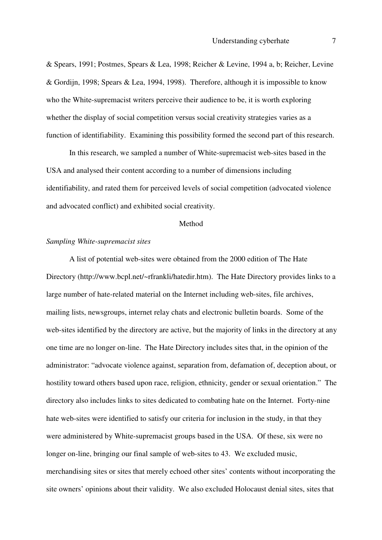& Spears, 1991; Postmes, Spears & Lea, 1998; Reicher & Levine, 1994 a, b; Reicher, Levine & Gordijn, 1998; Spears & Lea, 1994, 1998). Therefore, although it is impossible to know who the White-supremacist writers perceive their audience to be, it is worth exploring whether the display of social competition versus social creativity strategies varies as a function of identifiability. Examining this possibility formed the second part of this research.

In this research, we sampled a number of White-supremacist web-sites based in the USA and analysed their content according to a number of dimensions including identifiability, and rated them for perceived levels of social competition (advocated violence and advocated conflict) and exhibited social creativity.

#### Method

#### *Sampling White-supremacist sites*

 A list of potential web-sites were obtained from the 2000 edition of The Hate Directory (http://www.bcpl.net/~rfrankli/hatedir.htm). The Hate Directory provides links to a large number of hate-related material on the Internet including web-sites, file archives, mailing lists, newsgroups, internet relay chats and electronic bulletin boards. Some of the web-sites identified by the directory are active, but the majority of links in the directory at any one time are no longer on-line. The Hate Directory includes sites that, in the opinion of the administrator: "advocate violence against, separation from, defamation of, deception about, or hostility toward others based upon race, religion, ethnicity, gender or sexual orientation." The directory also includes links to sites dedicated to combating hate on the Internet. Forty-nine hate web-sites were identified to satisfy our criteria for inclusion in the study, in that they were administered by White-supremacist groups based in the USA. Of these, six were no longer on-line, bringing our final sample of web-sites to 43. We excluded music, merchandising sites or sites that merely echoed other sites' contents without incorporating the site owners' opinions about their validity. We also excluded Holocaust denial sites, sites that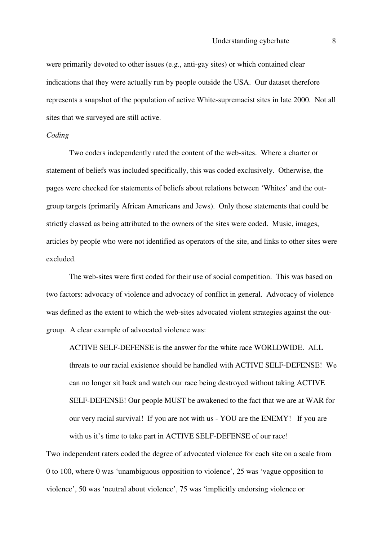were primarily devoted to other issues (e.g., anti-gay sites) or which contained clear indications that they were actually run by people outside the USA. Our dataset therefore represents a snapshot of the population of active White-supremacist sites in late 2000. Not all sites that we surveyed are still active.

#### *Coding*

Two coders independently rated the content of the web-sites. Where a charter or statement of beliefs was included specifically, this was coded exclusively. Otherwise, the pages were checked for statements of beliefs about relations between 'Whites' and the outgroup targets (primarily African Americans and Jews). Only those statements that could be strictly classed as being attributed to the owners of the sites were coded. Music, images, articles by people who were not identified as operators of the site, and links to other sites were excluded.

 The web-sites were first coded for their use of social competition. This was based on two factors: advocacy of violence and advocacy of conflict in general. Advocacy of violence was defined as the extent to which the web-sites advocated violent strategies against the outgroup. A clear example of advocated violence was:

ACTIVE SELF-DEFENSE is the answer for the white race WORLDWIDE. ALL threats to our racial existence should be handled with ACTIVE SELF-DEFENSE! We can no longer sit back and watch our race being destroyed without taking ACTIVE SELF-DEFENSE! Our people MUST be awakened to the fact that we are at WAR for our very racial survival! If you are not with us - YOU are the ENEMY! If you are with us it's time to take part in ACTIVE SELF-DEFENSE of our race!

Two independent raters coded the degree of advocated violence for each site on a scale from 0 to 100, where 0 was 'unambiguous opposition to violence', 25 was 'vague opposition to violence', 50 was 'neutral about violence', 75 was 'implicitly endorsing violence or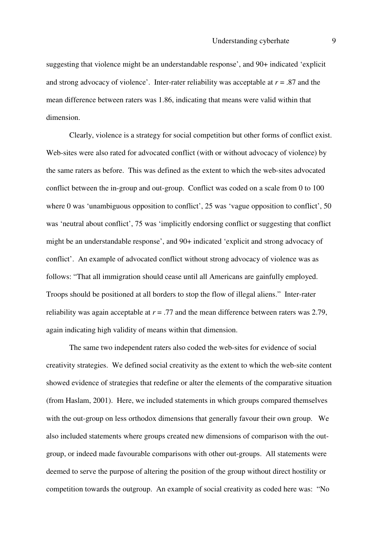suggesting that violence might be an understandable response', and 90+ indicated 'explicit and strong advocacy of violence'. Inter-rater reliability was acceptable at  $r = .87$  and the mean difference between raters was 1.86, indicating that means were valid within that dimension.

Clearly, violence is a strategy for social competition but other forms of conflict exist. Web-sites were also rated for advocated conflict (with or without advocacy of violence) by the same raters as before. This was defined as the extent to which the web-sites advocated conflict between the in-group and out-group. Conflict was coded on a scale from 0 to 100 where 0 was 'unambiguous opposition to conflict', 25 was 'vague opposition to conflict', 50 was 'neutral about conflict', 75 was 'implicitly endorsing conflict or suggesting that conflict might be an understandable response', and 90+ indicated 'explicit and strong advocacy of conflict'. An example of advocated conflict without strong advocacy of violence was as follows: "That all immigration should cease until all Americans are gainfully employed. Troops should be positioned at all borders to stop the flow of illegal aliens." Inter-rater reliability was again acceptable at *r* = .77 and the mean difference between raters was 2.79, again indicating high validity of means within that dimension.

The same two independent raters also coded the web-sites for evidence of social creativity strategies. We defined social creativity as the extent to which the web-site content showed evidence of strategies that redefine or alter the elements of the comparative situation (from Haslam, 2001). Here, we included statements in which groups compared themselves with the out-group on less orthodox dimensions that generally favour their own group. We also included statements where groups created new dimensions of comparison with the outgroup, or indeed made favourable comparisons with other out-groups. All statements were deemed to serve the purpose of altering the position of the group without direct hostility or competition towards the outgroup. An example of social creativity as coded here was: "No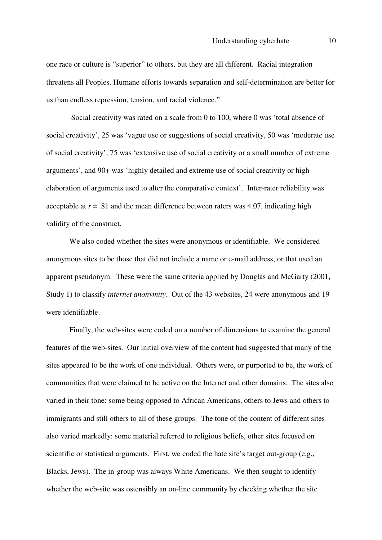one race or culture is "superior" to others, but they are all different. Racial integration threatens all Peoples. Humane efforts towards separation and self-determination are better for us than endless repression, tension, and racial violence."

 Social creativity was rated on a scale from 0 to 100, where 0 was 'total absence of social creativity', 25 was 'vague use or suggestions of social creativity, 50 was 'moderate use of social creativity', 75 was 'extensive use of social creativity or a small number of extreme arguments', and 90+ was 'highly detailed and extreme use of social creativity or high elaboration of arguments used to alter the comparative context'. Inter-rater reliability was acceptable at  $r = .81$  and the mean difference between raters was 4.07, indicating high validity of the construct.

We also coded whether the sites were anonymous or identifiable. We considered anonymous sites to be those that did not include a name or e-mail address, or that used an apparent pseudonym. These were the same criteria applied by Douglas and McGarty (2001, Study 1) to classify *internet anonymity*. Out of the 43 websites, 24 were anonymous and 19 were identifiable.

Finally, the web-sites were coded on a number of dimensions to examine the general features of the web-sites. Our initial overview of the content had suggested that many of the sites appeared to be the work of one individual. Others were, or purported to be, the work of communities that were claimed to be active on the Internet and other domains. The sites also varied in their tone: some being opposed to African Americans, others to Jews and others to immigrants and still others to all of these groups. The tone of the content of different sites also varied markedly: some material referred to religious beliefs, other sites focused on scientific or statistical arguments. First, we coded the hate site's target out-group (e.g., Blacks, Jews). The in-group was always White Americans. We then sought to identify whether the web-site was ostensibly an on-line community by checking whether the site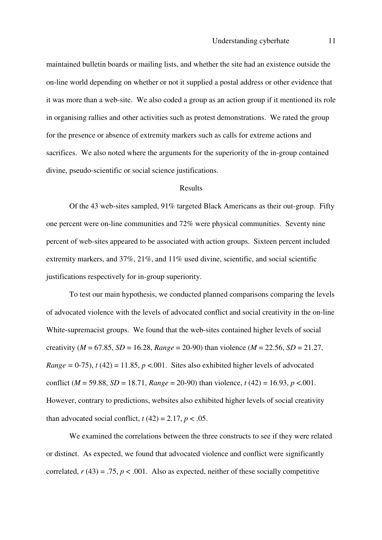maintained bulletin boards or mailing lists, and whether the site had an existence outside the on-line world depending on whether or not it supplied a postal address or other evidence that it was more than a web-site. We also coded a group as an action group if it mentioned its role in organising rallies and other activities such as protest demonstrations. We rated the group for the presence or absence of extremity markers such as calls for extreme actions and sacrifices. We also noted where the arguments for the superiority of the in-group contained divine, pseudo-scientific or social science justifications.

#### Results

 Of the 43 web-sites sampled, 91% targeted Black Americans as their out-group. Fifty one percent were on-line communities and 72% were physical communities. Seventy nine percent of web-sites appeared to be associated with action groups. Sixteen percent included extremity markers, and 37%, 21%, and 11% used divine, scientific, and social scientific justifications respectively for in-group superiority.

 To test our main hypothesis, we conducted planned comparisons comparing the levels of advocated violence with the levels of advocated conflict and social creativity in the on-line White-supremacist groups. We found that the web-sites contained higher levels of social creativity ( $M = 67.85$ ,  $SD = 16.28$ ,  $Range = 20-90$ ) than violence ( $M = 22.56$ ,  $SD = 21.27$ , *Range* = 0-75),  $t(42) = 11.85$ ,  $p < 0.001$ . Sites also exhibited higher levels of advocated conflict ( $M = 59.88$ ,  $SD = 18.71$ ,  $Range = 20-90$ ) than violence,  $t(42) = 16.93$ ,  $p < .001$ . However, contrary to predictions, websites also exhibited higher levels of social creativity than advocated social conflict,  $t(42) = 2.17$ ,  $p < .05$ .

 We examined the correlations between the three constructs to see if they were related or distinct. As expected, we found that advocated violence and conflict were significantly correlated,  $r(43) = .75$ ,  $p < .001$ . Also as expected, neither of these socially competitive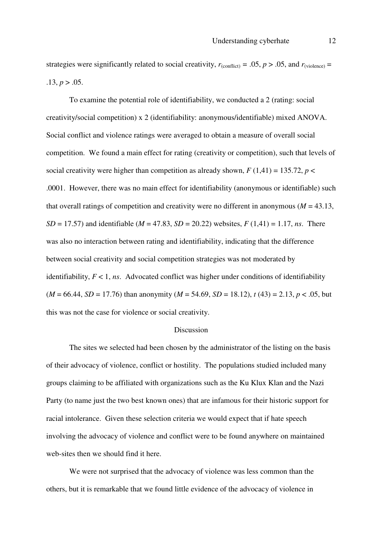strategies were significantly related to social creativity,  $r_{(conflict)} = .05$ ,  $p > .05$ , and  $r_{(video)} =$  $.13, p > .05.$ 

 To examine the potential role of identifiability, we conducted a 2 (rating: social creativity/social competition) x 2 (identifiability: anonymous/identifiable) mixed ANOVA. Social conflict and violence ratings were averaged to obtain a measure of overall social competition. We found a main effect for rating (creativity or competition), such that levels of social creativity were higher than competition as already shown,  $F(1,41) = 135.72$ ,  $p <$ .0001. However, there was no main effect for identifiability (anonymous or identifiable) such that overall ratings of competition and creativity were no different in anonymous ( $M = 43.13$ , *SD* = 17.57) and identifiable (*M* = 47.83, *SD* = 20.22) websites, *F* (1,41) = 1.17, *ns*. There was also no interaction between rating and identifiability, indicating that the difference between social creativity and social competition strategies was not moderated by identifiability,  $F < 1$ , *ns*. Advocated conflict was higher under conditions of identifiability  $(M = 66.44, SD = 17.76)$  than anonymity  $(M = 54.69, SD = 18.12)$ ,  $t(43) = 2.13$ ,  $p < .05$ , but this was not the case for violence or social creativity.

#### **Discussion**

The sites we selected had been chosen by the administrator of the listing on the basis of their advocacy of violence, conflict or hostility. The populations studied included many groups claiming to be affiliated with organizations such as the Ku Klux Klan and the Nazi Party (to name just the two best known ones) that are infamous for their historic support for racial intolerance. Given these selection criteria we would expect that if hate speech involving the advocacy of violence and conflict were to be found anywhere on maintained web-sites then we should find it here.

 We were not surprised that the advocacy of violence was less common than the others, but it is remarkable that we found little evidence of the advocacy of violence in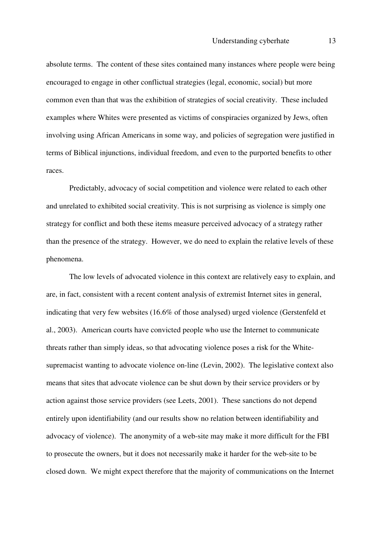absolute terms. The content of these sites contained many instances where people were being encouraged to engage in other conflictual strategies (legal, economic, social) but more common even than that was the exhibition of strategies of social creativity. These included examples where Whites were presented as victims of conspiracies organized by Jews, often involving using African Americans in some way, and policies of segregation were justified in terms of Biblical injunctions, individual freedom, and even to the purported benefits to other races.

 Predictably, advocacy of social competition and violence were related to each other and unrelated to exhibited social creativity. This is not surprising as violence is simply one strategy for conflict and both these items measure perceived advocacy of a strategy rather than the presence of the strategy. However, we do need to explain the relative levels of these phenomena.

 The low levels of advocated violence in this context are relatively easy to explain, and are, in fact, consistent with a recent content analysis of extremist Internet sites in general, indicating that very few websites (16.6% of those analysed) urged violence (Gerstenfeld et al., 2003). American courts have convicted people who use the Internet to communicate threats rather than simply ideas, so that advocating violence poses a risk for the Whitesupremacist wanting to advocate violence on-line (Levin, 2002). The legislative context also means that sites that advocate violence can be shut down by their service providers or by action against those service providers (see Leets, 2001). These sanctions do not depend entirely upon identifiability (and our results show no relation between identifiability and advocacy of violence). The anonymity of a web-site may make it more difficult for the FBI to prosecute the owners, but it does not necessarily make it harder for the web-site to be closed down. We might expect therefore that the majority of communications on the Internet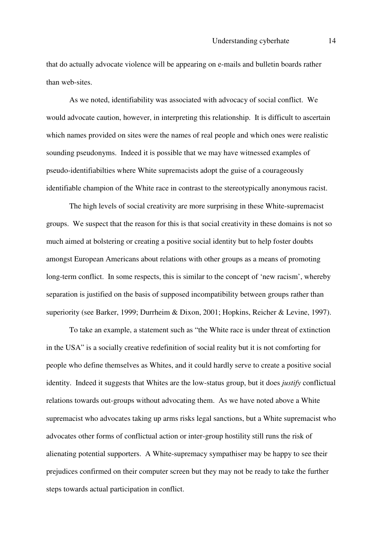that do actually advocate violence will be appearing on e-mails and bulletin boards rather than web-sites.

 As we noted, identifiability was associated with advocacy of social conflict. We would advocate caution, however, in interpreting this relationship. It is difficult to ascertain which names provided on sites were the names of real people and which ones were realistic sounding pseudonyms. Indeed it is possible that we may have witnessed examples of pseudo-identifiabilties where White supremacists adopt the guise of a courageously identifiable champion of the White race in contrast to the stereotypically anonymous racist.

 The high levels of social creativity are more surprising in these White-supremacist groups. We suspect that the reason for this is that social creativity in these domains is not so much aimed at bolstering or creating a positive social identity but to help foster doubts amongst European Americans about relations with other groups as a means of promoting long-term conflict. In some respects, this is similar to the concept of 'new racism', whereby separation is justified on the basis of supposed incompatibility between groups rather than superiority (see Barker, 1999; Durrheim & Dixon, 2001; Hopkins, Reicher & Levine, 1997).

 To take an example, a statement such as "the White race is under threat of extinction in the USA" is a socially creative redefinition of social reality but it is not comforting for people who define themselves as Whites, and it could hardly serve to create a positive social identity. Indeed it suggests that Whites are the low-status group, but it does *justify* conflictual relations towards out-groups without advocating them. As we have noted above a White supremacist who advocates taking up arms risks legal sanctions, but a White supremacist who advocates other forms of conflictual action or inter-group hostility still runs the risk of alienating potential supporters. A White-supremacy sympathiser may be happy to see their prejudices confirmed on their computer screen but they may not be ready to take the further steps towards actual participation in conflict.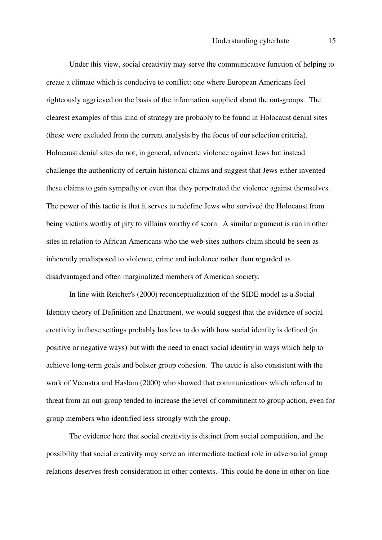Under this view, social creativity may serve the communicative function of helping to create a climate which is conducive to conflict: one where European Americans feel righteously aggrieved on the basis of the information supplied about the out-groups. The clearest examples of this kind of strategy are probably to be found in Holocaust denial sites (these were excluded from the current analysis by the focus of our selection criteria). Holocaust denial sites do not, in general, advocate violence against Jews but instead challenge the authenticity of certain historical claims and suggest that Jews either invented these claims to gain sympathy or even that they perpetrated the violence against themselves. The power of this tactic is that it serves to redefine Jews who survived the Holocaust from being victims worthy of pity to villains worthy of scorn. A similar argument is run in other sites in relation to African Americans who the web-sites authors claim should be seen as inherently predisposed to violence, crime and indolence rather than regarded as disadvantaged and often marginalized members of American society.

 In line with Reicher's (2000) reconceptualization of the SIDE model as a Social Identity theory of Definition and Enactment, we would suggest that the evidence of social creativity in these settings probably has less to do with how social identity is defined (in positive or negative ways) but with the need to enact social identity in ways which help to achieve long-term goals and bolster group cohesion. The tactic is also consistent with the work of Veenstra and Haslam (2000) who showed that communications which referred to threat from an out-group tended to increase the level of commitment to group action, even for group members who identified less strongly with the group.

 The evidence here that social creativity is distinct from social competition, and the possibility that social creativity may serve an intermediate tactical role in adversarial group relations deserves fresh consideration in other contexts. This could be done in other on-line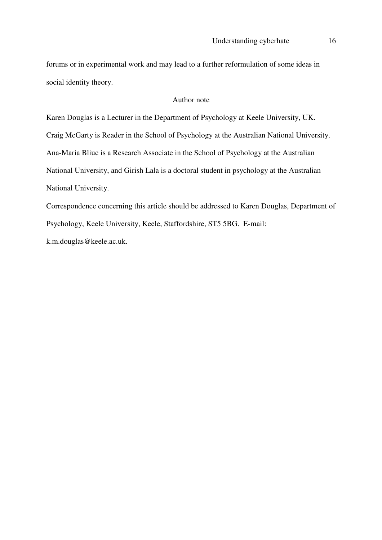forums or in experimental work and may lead to a further reformulation of some ideas in social identity theory.

#### Author note

Karen Douglas is a Lecturer in the Department of Psychology at Keele University, UK. Craig McGarty is Reader in the School of Psychology at the Australian National University. Ana-Maria Bliuc is a Research Associate in the School of Psychology at the Australian National University, and Girish Lala is a doctoral student in psychology at the Australian National University.

Correspondence concerning this article should be addressed to Karen Douglas, Department of Psychology, Keele University, Keele, Staffordshire, ST5 5BG. E-mail: k.m.douglas@keele.ac.uk.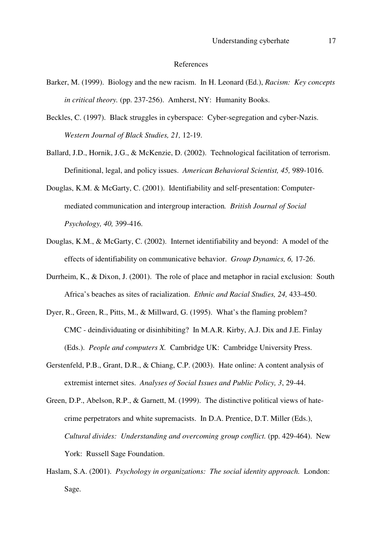#### References

- Barker, M. (1999). Biology and the new racism. In H. Leonard (Ed.), *Racism: Key concepts in critical theory.* (pp. 237-256). Amherst, NY: Humanity Books.
- Beckles, C. (1997). Black struggles in cyberspace: Cyber-segregation and cyber-Nazis. *Western Journal of Black Studies, 21,* 12-19.
- Ballard, J.D., Hornik, J.G., & McKenzie, D. (2002). Technological facilitation of terrorism. Definitional, legal, and policy issues. *American Behavioral Scientist, 45,* 989-1016.
- Douglas, K.M. & McGarty, C. (2001). Identifiability and self-presentation: Computermediated communication and intergroup interaction*. British Journal of Social Psychology, 40,* 399-416.
- Douglas, K.M., & McGarty, C. (2002). Internet identifiability and beyond: A model of the effects of identifiability on communicative behavior. *Group Dynamics, 6,* 17-26.
- Durrheim, K., & Dixon, J. (2001). The role of place and metaphor in racial exclusion: South Africa's beaches as sites of racialization. *Ethnic and Racial Studies, 24,* 433-450.
- Dyer, R., Green, R., Pitts, M., & Millward, G. (1995). What's the flaming problem? CMC - deindividuating or disinhibiting? In M.A.R. Kirby, A.J. Dix and J.E. Finlay (Eds.). *People and computers X.* Cambridge UK: Cambridge University Press.
- Gerstenfeld, P.B., Grant, D.R., & Chiang, C.P. (2003). Hate online: A content analysis of extremist internet sites. *Analyses of Social Issues and Public Policy, 3*, 29-44.
- Green, D.P., Abelson, R.P., & Garnett, M. (1999). The distinctive political views of hatecrime perpetrators and white supremacists. In D.A. Prentice, D.T. Miller (Eds.), *Cultural divides: Understanding and overcoming group conflict.* (pp. 429-464). New York: Russell Sage Foundation.
- Haslam, S.A. (2001). *Psychology in organizations: The social identity approach.* London: Sage.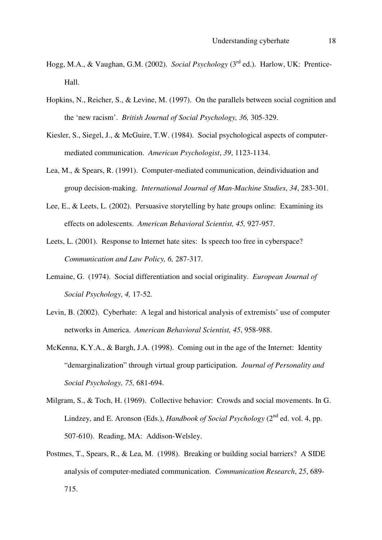- Hogg, M.A., & Vaughan, G.M. (2002). *Social Psychology* (3rd ed.). Harlow, UK: Prentice-Hall.
- Hopkins, N., Reicher, S., & Levine, M. (1997). On the parallels between social cognition and the 'new racism'. *British Journal of Social Psychology, 36,* 305-329.
- Kiesler, S., Siegel, J., & McGuire, T.W. (1984). Social psychological aspects of computermediated communication. *American Psychologist*, *39*, 1123-1134.
- Lea, M., & Spears, R. (1991). Computer-mediated communication, deindividuation and group decision-making. *International Journal of Man-Machine Studies*, *34*, 283-301.
- Lee, E., & Leets, L. (2002). Persuasive storytelling by hate groups online: Examining its effects on adolescents. *American Behavioral Scientist, 45,* 927-957.
- Leets, L. (2001). Response to Internet hate sites: Is speech too free in cyberspace? *Communication and Law Policy, 6,* 287-317.
- Lemaine, G. (1974). Social differentiation and social originality. *European Journal of Social Psychology, 4,* 17-52.
- Levin, B. (2002). Cyberhate: A legal and historical analysis of extremists' use of computer networks in America. *American Behavioral Scientist, 45*, 958-988.
- McKenna, K.Y.A., & Bargh, J.A. (1998). Coming out in the age of the Internet: Identity "demarginalization" through virtual group participation. *Journal of Personality and Social Psychology, 75,* 681-694.
- Milgram, S., & Toch, H. (1969). Collective behavior: Crowds and social movements. In G. Lindzey, and E. Aronson (Eds.), *Handbook of Social Psychology* (2<sup>nd</sup> ed. vol. 4, pp. 507-610). Reading, MA: Addison-Welsley.
- Postmes, T., Spears, R., & Lea, M. (1998). Breaking or building social barriers? A SIDE analysis of computer-mediated communication. *Communication Research*, *25*, 689- 715.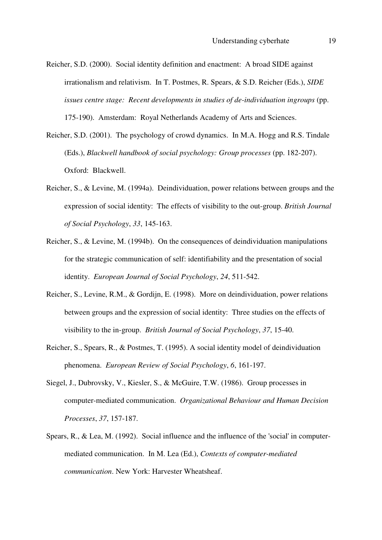- Reicher, S.D. (2000). Social identity definition and enactment: A broad SIDE against irrationalism and relativism. In T. Postmes, R. Spears, & S.D. Reicher (Eds.), *SIDE issues centre stage: Recent developments in studies of de-individuation ingroups* (pp. 175-190).Amsterdam: Royal Netherlands Academy of Arts and Sciences.
- Reicher, S.D. (2001). The psychology of crowd dynamics. In M.A. Hogg and R.S. Tindale (Eds.), *Blackwell handbook of social psychology: Group processes* (pp. 182-207). Oxford: Blackwell.
- Reicher, S., & Levine, M. (1994a). Deindividuation, power relations between groups and the expression of social identity: The effects of visibility to the out-group. *British Journal of Social Psychology*, *33*, 145-163.
- Reicher, S., & Levine, M. (1994b). On the consequences of deindividuation manipulations for the strategic communication of self: identifiability and the presentation of social identity. *European Journal of Social Psychology*, *24*, 511-542.
- Reicher, S., Levine, R.M., & Gordijn, E. (1998). More on deindividuation, power relations between groups and the expression of social identity: Three studies on the effects of visibility to the in-group. *British Journal of Social Psychology*, *37*, 15-40.
- Reicher, S., Spears, R., & Postmes, T. (1995). A social identity model of deindividuation phenomena. *European Review of Social Psychology*, *6*, 161-197.
- Siegel, J., Dubrovsky, V., Kiesler, S., & McGuire, T.W. (1986). Group processes in computer-mediated communication. *Organizational Behaviour and Human Decision Processes*, *37*, 157-187.
- Spears, R., & Lea, M. (1992). Social influence and the influence of the 'social' in computermediated communication. In M. Lea (Ed.), *Contexts of computer-mediated communication*. New York: Harvester Wheatsheaf.